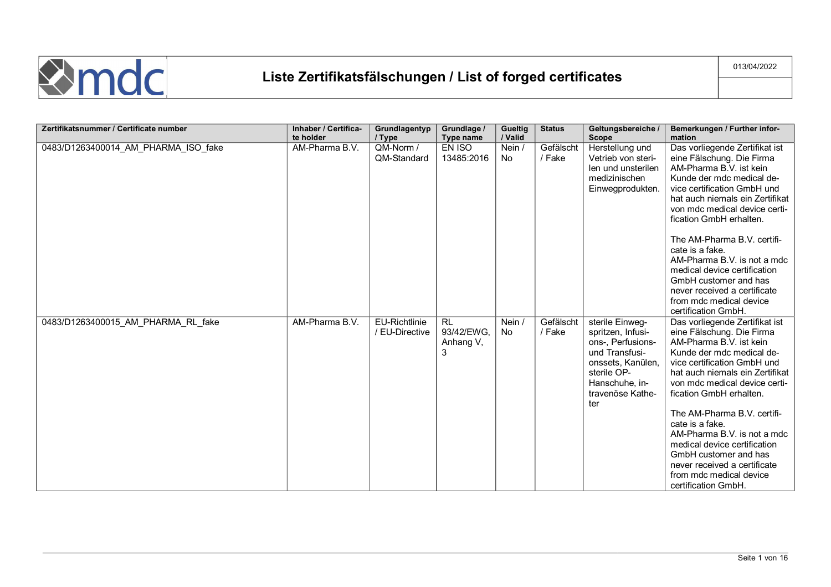

| Zertifikatsnummer / Certificate number | Inhaber / Certifica-<br>te holder | Grundlagentyp<br>/ Type                | Grundlage /<br>Type name                  | Gueltig<br>/ Valid | <b>Status</b>       | Geltungsbereiche /<br><b>Scope</b>                                                                                                                           | Bemerkungen / Further infor-<br>mation                                                                                                                                                                                                                                                                                                                                                                                                                                                               |
|----------------------------------------|-----------------------------------|----------------------------------------|-------------------------------------------|--------------------|---------------------|--------------------------------------------------------------------------------------------------------------------------------------------------------------|------------------------------------------------------------------------------------------------------------------------------------------------------------------------------------------------------------------------------------------------------------------------------------------------------------------------------------------------------------------------------------------------------------------------------------------------------------------------------------------------------|
| 0483/D1263400014 AM PHARMA ISO fake    | AM-Pharma B.V.                    | QM-Norm /<br>QM-Standard               | EN ISO<br>13485:2016                      | Nein /<br>No.      | Gefälscht<br>/ Fake | Herstellung und<br>Vetrieb von steri-<br>len und unsterilen<br>medizinischen<br>Einwegprodukten.                                                             | Das vorliegende Zertifikat ist<br>eine Fälschung. Die Firma<br>AM-Pharma B.V. ist kein<br>Kunde der mdc medical de-<br>vice certification GmbH und<br>hat auch niemals ein Zertifikat<br>von mdc medical device certi-<br>fication GmbH erhalten.<br>The AM-Pharma B.V. certifi-<br>cate is a fake.<br>AM-Pharma B.V. is not a mdc<br>medical device certification<br>GmbH customer and has<br>never received a certificate<br>from mdc medical device                                               |
| 0483/D1263400015 AM PHARMA RL fake     | AM-Pharma B.V.                    | <b>EU-Richtlinie</b><br>/ EU-Directive | <b>RL</b><br>93/42/EWG,<br>Anhang V,<br>3 | Nein /<br>No       | Gefälscht<br>/ Fake | sterile Einweg-<br>spritzen, Infusi-<br>ons-, Perfusions-<br>und Transfusi-<br>onssets, Kanülen,<br>sterile OP-<br>Hanschuhe. in-<br>travenöse Kathe-<br>ter | certification GmbH.<br>Das vorliegende Zertifikat ist<br>eine Fälschung. Die Firma<br>AM-Pharma B.V. ist kein<br>Kunde der mdc medical de-<br>vice certification GmbH und<br>hat auch niemals ein Zertifikat<br>von mdc medical device certi-<br>fication GmbH erhalten.<br>The AM-Pharma B.V. certifi-<br>cate is a fake.<br>AM-Pharma B.V. is not a mdc<br>medical device certification<br>GmbH customer and has<br>never received a certificate<br>from mdc medical device<br>certification GmbH. |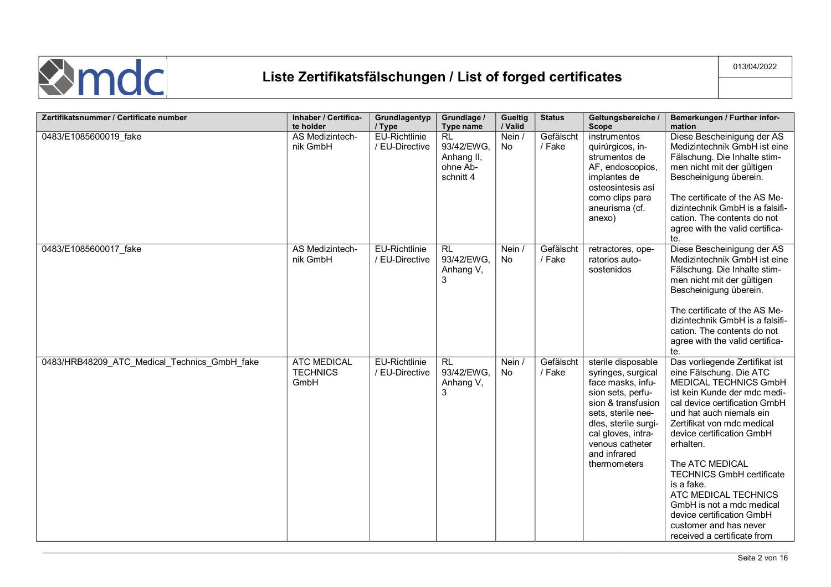

| Zertifikatsnummer / Certificate number       | Inhaber / Certifica-<br>te holder             | Grundlagentyp<br>/ Type                | Grundlage /<br>Type name                                       | Gueltig<br>/ Valid  | <b>Status</b>       | Geltungsbereiche /<br><b>Scope</b>                                                                                                                                                                                              | Bemerkungen / Further infor-<br>mation                                                                                                                                                                                                                                                                                                                                                                                                                                  |
|----------------------------------------------|-----------------------------------------------|----------------------------------------|----------------------------------------------------------------|---------------------|---------------------|---------------------------------------------------------------------------------------------------------------------------------------------------------------------------------------------------------------------------------|-------------------------------------------------------------------------------------------------------------------------------------------------------------------------------------------------------------------------------------------------------------------------------------------------------------------------------------------------------------------------------------------------------------------------------------------------------------------------|
| 0483/E1085600019_fake                        | AS Medizintech-<br>nik GmbH                   | EU-Richtlinie<br>/ EU-Directive        | <b>RL</b><br>93/42/EWG,<br>Anhang II,<br>ohne Ab-<br>schnitt 4 | Nein /<br><b>No</b> | Gefälscht<br>/ Fake | instrumentos<br>quirúrgicos, in-<br>strumentos de<br>AF, endoscopios,<br>implantes de<br>osteosintesis así<br>como clips para<br>aneurisma (cf.<br>anexo)                                                                       | Diese Bescheinigung der AS<br>Medizintechnik GmbH ist eine<br>Fälschung. Die Inhalte stim-<br>men nicht mit der gültigen<br>Bescheinigung überein.<br>The certificate of the AS Me-<br>dizintechnik GmbH is a falsifi-<br>cation. The contents do not<br>agree with the valid certifica-<br>te.                                                                                                                                                                         |
| 0483/E1085600017 fake                        | AS Medizintech-<br>nik GmbH                   | <b>EU-Richtlinie</b><br>/ EU-Directive | <b>RL</b><br>93/42/EWG,<br>Anhang V,<br>3                      | Nein /<br>No        | Gefälscht<br>/ Fake | retractores, ope-<br>ratorios auto-<br>sostenidos                                                                                                                                                                               | Diese Bescheinigung der AS<br>Medizintechnik GmbH ist eine<br>Fälschung. Die Inhalte stim-<br>men nicht mit der gültigen<br>Bescheinigung überein.<br>The certificate of the AS Me-<br>dizintechnik GmbH is a falsifi-<br>cation. The contents do not<br>agree with the valid certifica-<br>te.                                                                                                                                                                         |
| 0483/HRB48209 ATC Medical Technics GmbH fake | <b>ATC MEDICAL</b><br><b>TECHNICS</b><br>GmbH | <b>EU-Richtlinie</b><br>/ EU-Directive | <b>RL</b><br>93/42/EWG.<br>Anhang V,<br>3                      | Nein /<br>No        | Gefälscht<br>/ Fake | sterile disposable<br>syringes, surgical<br>face masks, infu-<br>sion sets, perfu-<br>sion & transfusion<br>sets, sterile nee-<br>dles, sterile surgi-<br>cal gloves, intra-<br>venous catheter<br>and infrared<br>thermometers | Das vorliegende Zertifikat ist<br>eine Fälschung. Die ATC<br>MEDICAL TECHNICS GmbH<br>ist kein Kunde der mdc medi-<br>cal device certification GmbH<br>und hat auch niemals ein<br>Zertifikat von mdc medical<br>device certification GmbH<br>erhalten.<br>The ATC MEDICAL<br><b>TECHNICS GmbH certificate</b><br>is a fake.<br>ATC MEDICAL TECHNICS<br>GmbH is not a mdc medical<br>device certification GmbH<br>customer and has never<br>received a certificate from |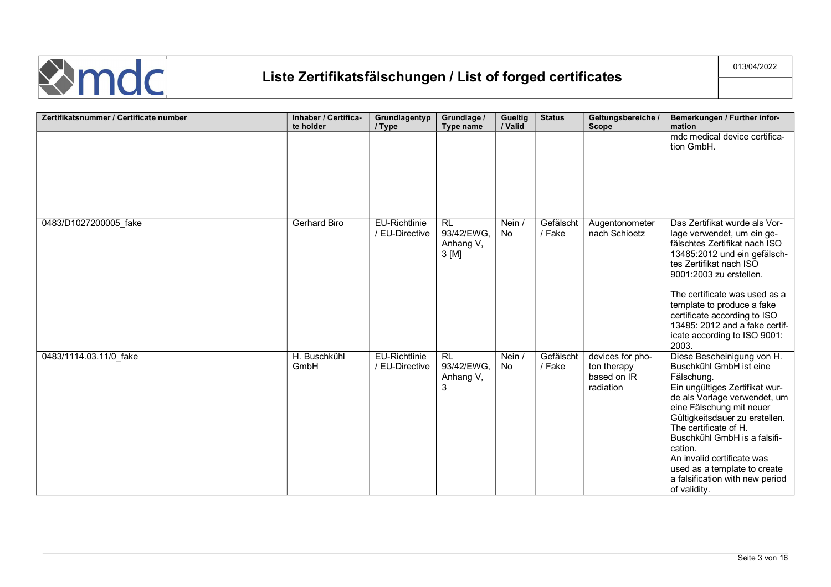

| Zertifikatsnummer / Certificate number | Inhaber / Certifica-<br>te holder | Grundlagentyp<br>/ Type                | Grundlage /<br>Type name                       | Gueltig<br>/ Valid | <b>Status</b>       | Geltungsbereiche /<br><b>Scope</b>                          | Bemerkungen / Further infor-<br>mation                                                                                                                                                                                                                                                                                                                                                   |
|----------------------------------------|-----------------------------------|----------------------------------------|------------------------------------------------|--------------------|---------------------|-------------------------------------------------------------|------------------------------------------------------------------------------------------------------------------------------------------------------------------------------------------------------------------------------------------------------------------------------------------------------------------------------------------------------------------------------------------|
|                                        |                                   |                                        |                                                |                    |                     |                                                             | mdc medical device certifica-<br>tion GmbH.                                                                                                                                                                                                                                                                                                                                              |
| 0483/D1027200005 fake                  | Gerhard Biro                      | <b>EU-Richtlinie</b><br>/ EU-Directive | <b>RL</b><br>93/42/EWG.<br>Anhang V,<br>3 [M]  | Nein /<br>No       | Gefälscht<br>/ Fake | Augentonometer<br>nach Schioetz                             | Das Zertifikat wurde als Vor-<br>lage verwendet, um ein ge-<br>fälschtes Zertifikat nach ISO<br>13485:2012 und ein gefälsch-<br>tes Zertifikat nach ISO<br>9001:2003 zu erstellen.<br>The certificate was used as a<br>template to produce a fake<br>certificate according to ISO<br>13485: 2012 and a fake certif-<br>icate according to ISO 9001:<br>2003.                             |
| 0483/1114.03.11/0 fake                 | H. Buschkühl<br>GmbH              | <b>EU-Richtlinie</b><br>/ EU-Directive | R <sub>L</sub><br>93/42/EWG.<br>Anhang V,<br>3 | Nein /<br>No       | Gefälscht<br>/ Fake | devices for pho-<br>ton therapy<br>based on IR<br>radiation | Diese Bescheinigung von H.<br>Buschkühl GmbH ist eine<br>Fälschung.<br>Ein ungültiges Zertifikat wur-<br>de als Vorlage verwendet, um<br>eine Fälschung mit neuer<br>Gültigkeitsdauer zu erstellen.<br>The certificate of H.<br>Buschkühl GmbH is a falsifi-<br>cation.<br>An invalid certificate was<br>used as a template to create<br>a falsification with new period<br>of validity. |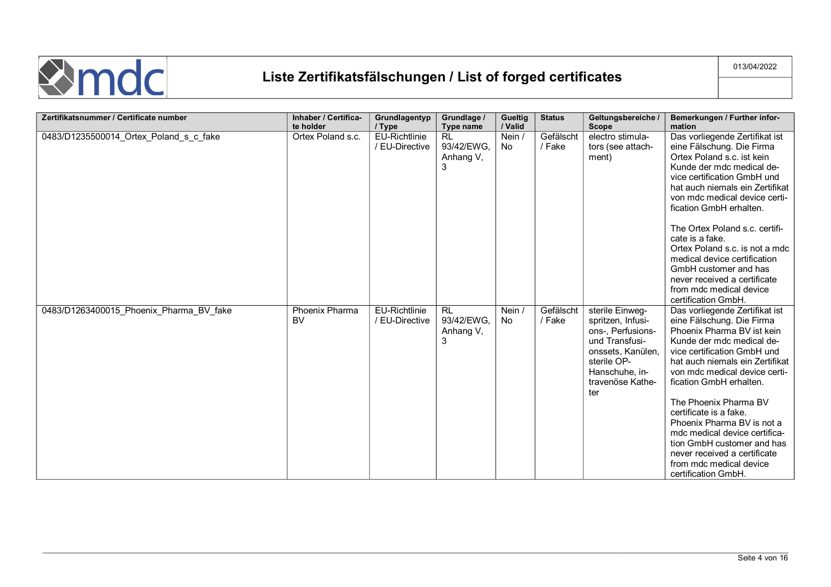

| Zertifikatsnummer / Certificate number  | Inhaber / Certifica-<br>te holder | Grundlagentyp<br>/ Type                | Grundlage /<br>Type name                  | <b>Gueltig</b><br>/ Valid | <b>Status</b>       | Geltungsbereiche /<br><b>Scope</b>                                                                                                                           | Bemerkungen / Further infor-<br>mation                                                                                                                                                                                                                                                                                                                                                                                                                                                 |
|-----------------------------------------|-----------------------------------|----------------------------------------|-------------------------------------------|---------------------------|---------------------|--------------------------------------------------------------------------------------------------------------------------------------------------------------|----------------------------------------------------------------------------------------------------------------------------------------------------------------------------------------------------------------------------------------------------------------------------------------------------------------------------------------------------------------------------------------------------------------------------------------------------------------------------------------|
| 0483/D1235500014 Ortex Poland s c fake  | Ortex Poland s.c.                 | <b>EU-Richtlinie</b><br>/ EU-Directive | <b>RL</b><br>93/42/EWG,<br>Anhang V,<br>3 | Nein /<br>No.             | Gefälscht<br>/ Fake | electro stimula-<br>tors (see attach-<br>ment)                                                                                                               | Das vorliegende Zertifikat ist<br>eine Fälschung. Die Firma<br>Ortex Poland s.c. ist kein<br>Kunde der mdc medical de-<br>vice certification GmbH und<br>hat auch niemals ein Zertifikat<br>von mdc medical device certi-<br>fication GmbH erhalten.<br>The Ortex Poland s.c. certifi-<br>cate is a fake.<br>Ortex Poland s.c. is not a mdc<br>medical device certification<br>GmbH customer and has<br>never received a certificate<br>from mdc medical device<br>certification GmbH. |
| 0483/D1263400015_Phoenix_Pharma_BV_fake | Phoenix Pharma<br><b>BV</b>       | <b>EU-Richtlinie</b><br>/ EU-Directive | <b>RL</b><br>93/42/EWG.<br>Anhang V,<br>3 | Nein /<br><b>No</b>       | Gefälscht<br>/ Fake | sterile Einweg-<br>spritzen, Infusi-<br>ons-, Perfusions-<br>und Transfusi-<br>onssets, Kanülen,<br>sterile OP-<br>Hanschuhe, in-<br>travenöse Kathe-<br>ter | Das vorliegende Zertifikat ist<br>eine Fälschung. Die Firma<br>Phoenix Pharma BV ist kein<br>Kunde der mdc medical de-<br>vice certification GmbH und<br>hat auch niemals ein Zertifikat<br>von mdc medical device certi-<br>fication GmbH erhalten.<br>The Phoenix Pharma BV<br>certificate is a fake.<br>Phoenix Pharma BV is not a<br>mdc medical device certifica-<br>tion GmbH customer and has<br>never received a certificate<br>from mdc medical device<br>certification GmbH. |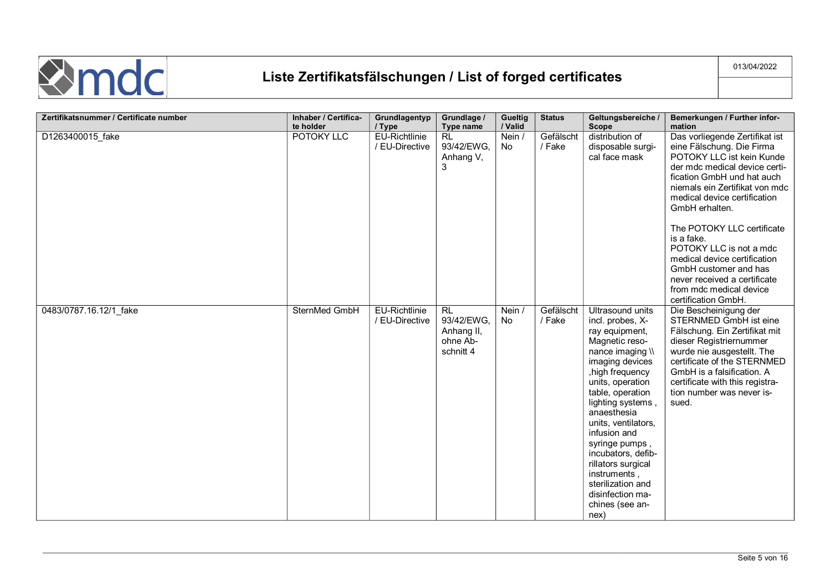

| Zertifikatsnummer / Certificate number | Inhaber / Certifica-    | Grundlagentyp                             | Grundlage /                                                    | Gueltig                 | <b>Status</b>       | Geltungsbereiche /                                                                                                                                                                                                                                                                                                                                                                                       | Bemerkungen / Further infor-                                                                                                                                                                                                                                                                                                                                                                                                                                            |
|----------------------------------------|-------------------------|-------------------------------------------|----------------------------------------------------------------|-------------------------|---------------------|----------------------------------------------------------------------------------------------------------------------------------------------------------------------------------------------------------------------------------------------------------------------------------------------------------------------------------------------------------------------------------------------------------|-------------------------------------------------------------------------------------------------------------------------------------------------------------------------------------------------------------------------------------------------------------------------------------------------------------------------------------------------------------------------------------------------------------------------------------------------------------------------|
| D1263400015_fake                       | te holder<br>POTOKY LLC | / Type<br>EU-Richtlinie<br>/ EU-Directive | Type name<br><b>RL</b><br>93/42/EWG,<br>Anhang V,<br>3         | / Valid<br>Nein /<br>No | Gefälscht<br>/ Fake | <b>Scope</b><br>distribution of<br>disposable surgi-<br>cal face mask                                                                                                                                                                                                                                                                                                                                    | mation<br>Das vorliegende Zertifikat ist<br>eine Fälschung. Die Firma<br>POTOKY LLC ist kein Kunde<br>der mdc medical device certi-<br>fication GmbH und hat auch<br>niemals ein Zertifikat von mdc<br>medical device certification<br>GmbH erhalten.<br>The POTOKY LLC certificate<br>is a fake.<br>POTOKY LLC is not a mdc<br>medical device certification<br>GmbH customer and has<br>never received a certificate<br>from mdc medical device<br>certification GmbH. |
| 0483/0787.16.12/1 fake                 | SternMed GmbH           | <b>EU-Richtlinie</b><br>/ EU-Directive    | <b>RL</b><br>93/42/EWG,<br>Anhang II,<br>ohne Ab-<br>schnitt 4 | Nein /<br>No            | Gefälscht<br>/ Fake | Ultrasound units<br>incl. probes, X-<br>ray equipment,<br>Magnetic reso-<br>nance imaging \\<br>imaging devices<br>, high frequency<br>units, operation<br>table, operation<br>lighting systems,<br>anaesthesia<br>units, ventilators,<br>infusion and<br>syringe pumps,<br>incubators, defib-<br>rillators surgical<br>instruments,<br>sterilization and<br>disinfection ma-<br>chines (see an-<br>nex) | Die Bescheinigung der<br>STERNMED GmbH ist eine<br>Fälschung. Ein Zertifikat mit<br>dieser Registriernummer<br>wurde nie ausgestellt. The<br>certificate of the STERNMED<br>GmbH is a falsification. A<br>certificate with this registra-<br>tion number was never is-<br>sued.                                                                                                                                                                                         |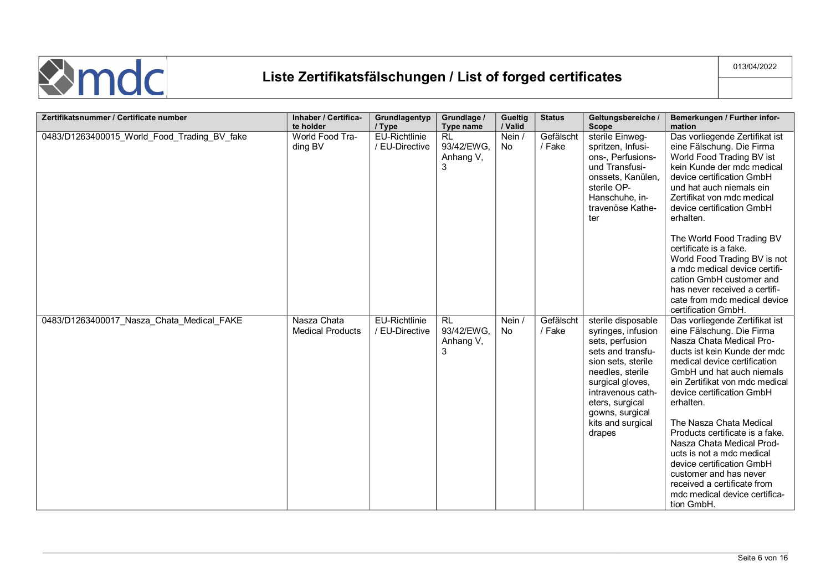

| Zertifikatsnummer / Certificate number      | Inhaber / Certifica-                   | Grundlagentyp                          | Grundlage /                               | Gueltig             | <b>Status</b>       | Geltungsbereiche /                                                                                                                                                                                                                       | Bemerkungen / Further infor-                                                                                                                                                                                                                                                                                                                                                                                                                                                                                                  |
|---------------------------------------------|----------------------------------------|----------------------------------------|-------------------------------------------|---------------------|---------------------|------------------------------------------------------------------------------------------------------------------------------------------------------------------------------------------------------------------------------------------|-------------------------------------------------------------------------------------------------------------------------------------------------------------------------------------------------------------------------------------------------------------------------------------------------------------------------------------------------------------------------------------------------------------------------------------------------------------------------------------------------------------------------------|
|                                             | te holder                              | / Type                                 | Type name                                 | / Valid             |                     | <b>Scope</b>                                                                                                                                                                                                                             | mation                                                                                                                                                                                                                                                                                                                                                                                                                                                                                                                        |
| 0483/D1263400015_World_Food_Trading_BV_fake | World Food Tra-<br>ding BV             | <b>EU-Richtlinie</b><br>/ EU-Directive | <b>RL</b><br>93/42/EWG.<br>Anhang V,<br>3 | Nein /<br><b>No</b> | Gefälscht<br>/ Fake | sterile Einweg-<br>spritzen, Infusi-<br>ons-, Perfusions-<br>und Transfusi-<br>onssets, Kanülen,<br>sterile OP-<br>Hanschuhe, in-<br>travenöse Kathe-<br>ter                                                                             | Das vorliegende Zertifikat ist<br>eine Fälschung. Die Firma<br>World Food Trading BV ist<br>kein Kunde der mdc medical<br>device certification GmbH<br>und hat auch niemals ein<br>Zertifikat von mdc medical<br>device certification GmbH<br>erhalten.                                                                                                                                                                                                                                                                       |
|                                             |                                        |                                        |                                           |                     |                     |                                                                                                                                                                                                                                          | The World Food Trading BV<br>certificate is a fake.<br>World Food Trading BV is not<br>a mdc medical device certifi-<br>cation GmbH customer and<br>has never received a certifi-<br>cate from mdc medical device<br>certification GmbH.                                                                                                                                                                                                                                                                                      |
| 0483/D1263400017 Nasza Chata Medical FAKE   | Nasza Chata<br><b>Medical Products</b> | <b>EU-Richtlinie</b><br>/ EU-Directive | <b>RL</b><br>93/42/EWG.<br>Anhang V,<br>3 | Nein /<br><b>No</b> | Gefälscht<br>/ Fake | sterile disposable<br>syringes, infusion<br>sets, perfusion<br>sets and transfu-<br>sion sets, sterile<br>needles, sterile<br>surgical gloves,<br>intravenous cath-<br>eters, surgical<br>gowns, surgical<br>kits and surgical<br>drapes | Das vorliegende Zertifikat ist<br>eine Fälschung. Die Firma<br>Nasza Chata Medical Pro-<br>ducts ist kein Kunde der mdc<br>medical device certification<br>GmbH und hat auch niemals<br>ein Zertifikat von mdc medical<br>device certification GmbH<br>erhalten.<br>The Nasza Chata Medical<br>Products certificate is a fake.<br>Nasza Chata Medical Prod-<br>ucts is not a mdc medical<br>device certification GmbH<br>customer and has never<br>received a certificate from<br>mdc medical device certifica-<br>tion GmbH. |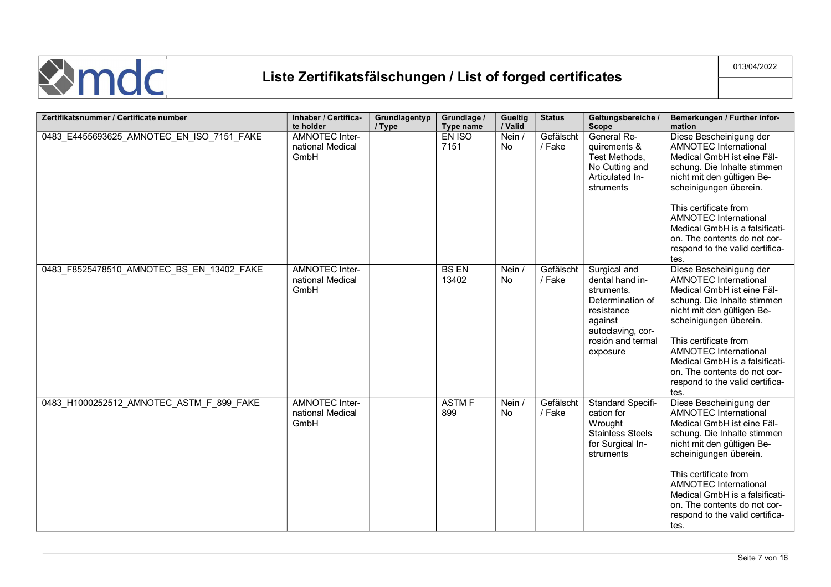

| Zertifikatsnummer / Certificate number    | Inhaber / Certifica-                              | Grundlagentyp | Grundlage /           | Gueltig             | <b>Status</b>       | Geltungsbereiche /                                                                                                                               | Bemerkungen / Further infor-                                                                                                                                                                                                                                                                                                                       |
|-------------------------------------------|---------------------------------------------------|---------------|-----------------------|---------------------|---------------------|--------------------------------------------------------------------------------------------------------------------------------------------------|----------------------------------------------------------------------------------------------------------------------------------------------------------------------------------------------------------------------------------------------------------------------------------------------------------------------------------------------------|
|                                           | te holder                                         | / Type        | Type name             | / Valid             |                     | <b>Scope</b>                                                                                                                                     | mation                                                                                                                                                                                                                                                                                                                                             |
| 0483_E4455693625_AMNOTEC_EN_ISO_7151_FAKE | <b>AMNOTEC Inter-</b><br>national Medical<br>GmbH |               | EN ISO<br>7151        | Nein /<br>No        | Gefälscht<br>/ Fake | General Re-<br>quirements &<br>Test Methods,<br>No Cutting and<br>Articulated In-<br>struments                                                   | Diese Bescheinigung der<br><b>AMNOTEC International</b><br>Medical GmbH ist eine Fäl-<br>schung. Die Inhalte stimmen<br>nicht mit den gültigen Be-<br>scheinigungen überein.<br>This certificate from<br><b>AMNOTEC International</b><br>Medical GmbH is a falsificati-<br>on. The contents do not cor-<br>respond to the valid certifica-<br>tes. |
| 0483 F8525478510 AMNOTEC BS EN 13402 FAKE | <b>AMNOTEC Inter-</b><br>national Medical<br>GmbH |               | <b>BS EN</b><br>13402 | Nein /<br>No        | Gefälscht<br>/ Fake | Surgical and<br>dental hand in-<br>struments.<br>Determination of<br>resistance<br>against<br>autoclaving, cor-<br>rosión and termal<br>exposure | Diese Bescheinigung der<br><b>AMNOTEC International</b><br>Medical GmbH ist eine Fäl-<br>schung. Die Inhalte stimmen<br>nicht mit den gültigen Be-<br>scheinigungen überein.<br>This certificate from<br>AMNOTEC International<br>Medical GmbH is a falsificati-<br>on. The contents do not cor-<br>respond to the valid certifica-<br>tes.        |
| 0483_H1000252512_AMNOTEC_ASTM_F_899_FAKE  | <b>AMNOTEC Inter-</b><br>national Medical<br>GmbH |               | <b>ASTM F</b><br>899  | Nein /<br><b>No</b> | Gefälscht<br>/ Fake | Standard Specifi-<br>cation for<br>Wrought<br><b>Stainless Steels</b><br>for Surgical In-<br>struments                                           | Diese Bescheinigung der<br><b>AMNOTEC</b> International<br>Medical GmbH ist eine Fäl-<br>schung. Die Inhalte stimmen<br>nicht mit den gültigen Be-<br>scheinigungen überein.<br>This certificate from<br><b>AMNOTEC International</b><br>Medical GmbH is a falsificati-<br>on. The contents do not cor-<br>respond to the valid certifica-<br>tes. |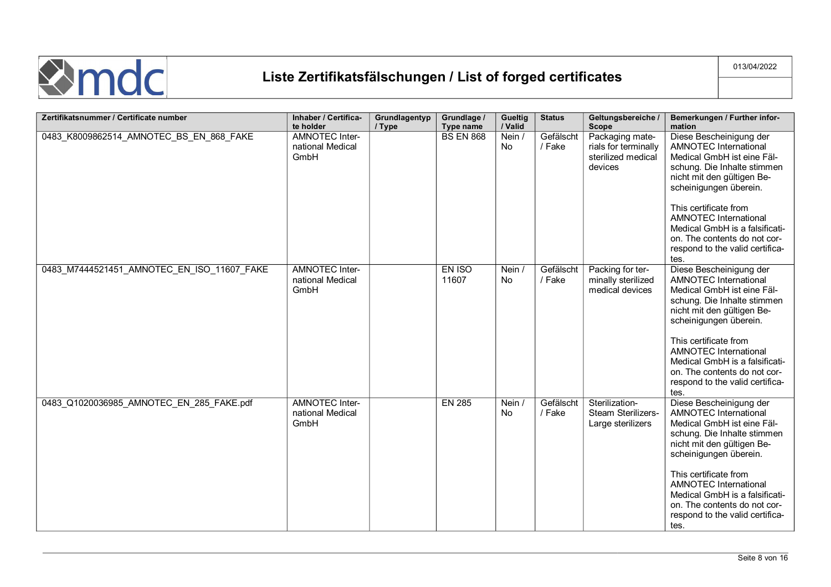

| Zertifikatsnummer / Certificate number     | Inhaber / Certifica-<br>te holder                 | Grundlagentyp<br>/ Type | Grundlage /<br>Type name | <b>Gueltig</b><br>/ Valid | <b>Status</b>       | Geltungsbereiche /<br><b>Scope</b>                                       | Bemerkungen / Further infor-<br>mation                                                                                                                                                                                                                                                                                                             |
|--------------------------------------------|---------------------------------------------------|-------------------------|--------------------------|---------------------------|---------------------|--------------------------------------------------------------------------|----------------------------------------------------------------------------------------------------------------------------------------------------------------------------------------------------------------------------------------------------------------------------------------------------------------------------------------------------|
| 0483_K8009862514_AMNOTEC_BS_EN_868_FAKE    | <b>AMNOTEC Inter-</b><br>national Medical<br>GmbH |                         | <b>BS EN 868</b>         | Nein /<br>No.             | Gefälscht<br>/ Fake | Packaging mate-<br>rials for terminally<br>sterilized medical<br>devices | Diese Bescheinigung der<br><b>AMNOTEC International</b><br>Medical GmbH ist eine Fäl-<br>schung. Die Inhalte stimmen<br>nicht mit den gültigen Be-<br>scheinigungen überein.<br>This certificate from<br><b>AMNOTEC International</b><br>Medical GmbH is a falsificati-<br>on. The contents do not cor-<br>respond to the valid certifica-<br>tes. |
| 0483_M7444521451_AMNOTEC_EN_ISO_11607_FAKE | <b>AMNOTEC Inter-</b><br>national Medical<br>GmbH |                         | EN ISO<br>11607          | Nein /<br>No              | Gefälscht<br>/ Fake | Packing for ter-<br>minally sterilized<br>medical devices                | Diese Bescheinigung der<br><b>AMNOTEC International</b><br>Medical GmbH ist eine Fäl-<br>schung. Die Inhalte stimmen<br>nicht mit den gültigen Be-<br>scheinigungen überein.<br>This certificate from<br><b>AMNOTEC International</b><br>Medical GmbH is a falsificati-<br>on. The contents do not cor-<br>respond to the valid certifica-<br>tes. |
| 0483 Q1020036985 AMNOTEC EN 285 FAKE.pdf   | AMNOTEC Inter-<br>national Medical<br>GmbH        |                         | <b>EN 285</b>            | Nein /<br><b>No</b>       | Gefälscht<br>/ Fake | Sterilization-<br>Steam Sterilizers-<br>Large sterilizers                | Diese Bescheinigung der<br><b>AMNOTEC International</b><br>Medical GmbH ist eine Fäl-<br>schung. Die Inhalte stimmen<br>nicht mit den gültigen Be-<br>scheinigungen überein.<br>This certificate from<br><b>AMNOTEC International</b><br>Medical GmbH is a falsificati-<br>on. The contents do not cor-<br>respond to the valid certifica-<br>tes. |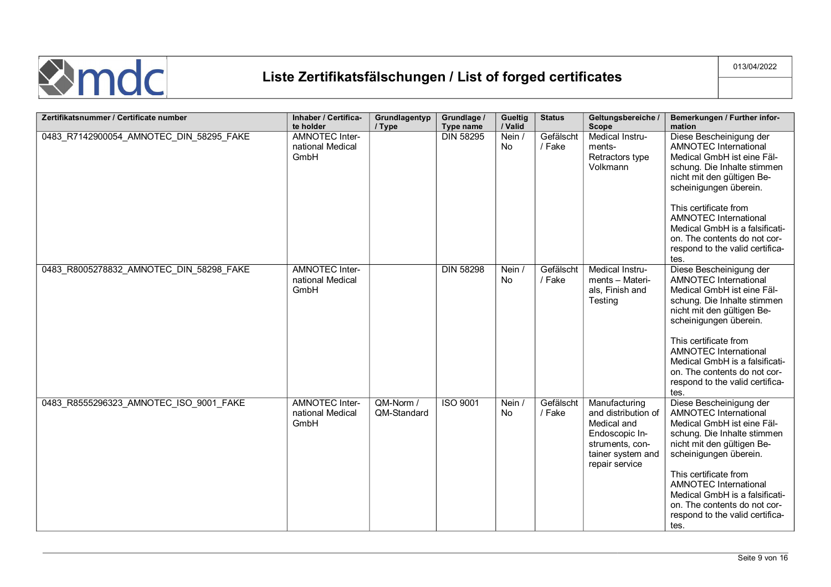

| Zertifikatsnummer / Certificate number  | Inhaber / Certifica-                                    | Grundlagentyp            | Grundlage /                   | <b>Gueltig</b>          | <b>Status</b>       | Geltungsbereiche /                                                                                                              | Bemerkungen / Further infor-                                                                                                                                                                                                                                                                                                                                 |
|-----------------------------------------|---------------------------------------------------------|--------------------------|-------------------------------|-------------------------|---------------------|---------------------------------------------------------------------------------------------------------------------------------|--------------------------------------------------------------------------------------------------------------------------------------------------------------------------------------------------------------------------------------------------------------------------------------------------------------------------------------------------------------|
| 0483_R7142900054_AMNOTEC_DIN_58295_FAKE | te holder<br>AMNOTEC Inter-<br>national Medical<br>GmbH | / Type                   | Type name<br><b>DIN 58295</b> | / Valid<br>Nein /<br>No | Gefälscht<br>/ Fake | <b>Scope</b><br>Medical Instru-<br>ments-<br>Retractors type<br>Volkmann                                                        | mation<br>Diese Bescheinigung der<br><b>AMNOTEC International</b><br>Medical GmbH ist eine Fäl-<br>schung. Die Inhalte stimmen<br>nicht mit den gültigen Be-<br>scheinigungen überein.<br>This certificate from<br><b>AMNOTEC International</b><br>Medical GmbH is a falsificati-<br>on. The contents do not cor-<br>respond to the valid certifica-<br>tes. |
| 0483 R8005278832 AMNOTEC DIN 58298 FAKE | <b>AMNOTEC Inter-</b><br>national Medical<br>GmbH       |                          | <b>DIN 58298</b>              | Nein /<br><b>No</b>     | Gefälscht<br>/ Fake | Medical Instru-<br>ments - Materi-<br>als, Finish and<br>Testing                                                                | Diese Bescheinigung der<br><b>AMNOTEC International</b><br>Medical GmbH ist eine Fäl-<br>schung. Die Inhalte stimmen<br>nicht mit den gültigen Be-<br>scheinigungen überein.<br>This certificate from<br><b>AMNOTEC International</b><br>Medical GmbH is a falsificati-<br>on. The contents do not cor-<br>respond to the valid certifica-<br>tes.           |
| 0483_R8555296323_AMNOTEC_ISO_9001_FAKE  | <b>AMNOTEC Inter-</b><br>national Medical<br>GmbH       | QM-Norm /<br>QM-Standard | <b>ISO 9001</b>               | Nein /<br>No.           | Gefälscht<br>/ Fake | Manufacturing<br>and distribution of<br>Medical and<br>Endoscopic In-<br>struments, con-<br>tainer system and<br>repair service | Diese Bescheinigung der<br><b>AMNOTEC International</b><br>Medical GmbH ist eine Fäl-<br>schung. Die Inhalte stimmen<br>nicht mit den gültigen Be-<br>scheinigungen überein.<br>This certificate from<br><b>AMNOTEC International</b><br>Medical GmbH is a falsificati-<br>on. The contents do not cor-<br>respond to the valid certifica-<br>tes.           |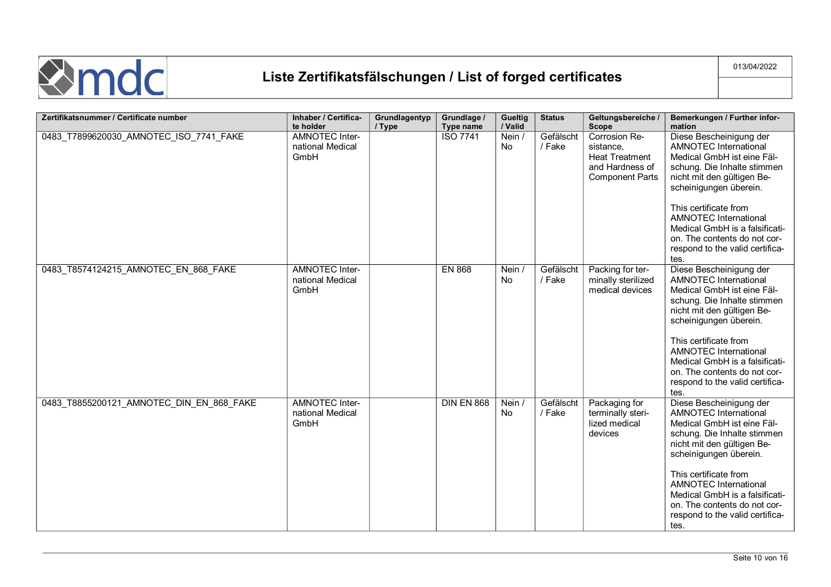

| Zertifikatsnummer / Certificate number   | Inhaber / Certifica-                              | Grundlagentyp | Grundlage /       | <b>Gueltig</b>      | <b>Status</b>       | Geltungsbereiche /                                                                               | Bemerkungen / Further infor-                                                                                                                                                                                                                                                                                                                       |
|------------------------------------------|---------------------------------------------------|---------------|-------------------|---------------------|---------------------|--------------------------------------------------------------------------------------------------|----------------------------------------------------------------------------------------------------------------------------------------------------------------------------------------------------------------------------------------------------------------------------------------------------------------------------------------------------|
|                                          | te holder                                         | / Type        | Type name         | / Valid             |                     | <b>Scope</b>                                                                                     | mation                                                                                                                                                                                                                                                                                                                                             |
| 0483_T7899620030_AMNOTEC_ISO_7741_FAKE   | <b>AMNOTEC Inter-</b><br>national Medical<br>GmbH |               | <b>ISO 7741</b>   | Nein /<br>No        | Gefälscht<br>/ Fake | Corrosion Re-<br>sistance,<br><b>Heat Treatment</b><br>and Hardness of<br><b>Component Parts</b> | Diese Bescheinigung der<br>AMNOTEC International<br>Medical GmbH ist eine Fäl-<br>schung. Die Inhalte stimmen<br>nicht mit den gültigen Be-<br>scheinigungen überein.<br>This certificate from<br><b>AMNOTEC International</b><br>Medical GmbH is a falsificati-                                                                                   |
|                                          |                                                   |               |                   |                     |                     |                                                                                                  | on. The contents do not cor-<br>respond to the valid certifica-<br>tes.                                                                                                                                                                                                                                                                            |
| 0483 T8574124215 AMNOTEC EN 868 FAKE     | <b>AMNOTEC Inter-</b><br>national Medical<br>GmbH |               | <b>EN 868</b>     | Nein /<br>No        | Gefälscht<br>/ Fake | Packing for ter-<br>minally sterilized<br>medical devices                                        | Diese Bescheinigung der<br><b>AMNOTEC International</b><br>Medical GmbH ist eine Fäl-<br>schung. Die Inhalte stimmen<br>nicht mit den gültigen Be-<br>scheinigungen überein.<br>This certificate from<br><b>AMNOTEC International</b><br>Medical GmbH is a falsificati-<br>on. The contents do not cor-<br>respond to the valid certifica-<br>tes. |
| 0483_T8855200121_AMNOTEC_DIN_EN_868_FAKE | <b>AMNOTEC Inter-</b><br>national Medical<br>GmbH |               | <b>DIN EN 868</b> | Nein /<br><b>No</b> | Gefälscht<br>/ Fake | Packaging for<br>terminally steri-<br>lized medical<br>devices                                   | Diese Bescheinigung der<br><b>AMNOTEC</b> International<br>Medical GmbH ist eine Fäl-<br>schung. Die Inhalte stimmen<br>nicht mit den gültigen Be-<br>scheinigungen überein.<br>This certificate from<br><b>AMNOTEC International</b><br>Medical GmbH is a falsificati-<br>on. The contents do not cor-<br>respond to the valid certifica-<br>tes. |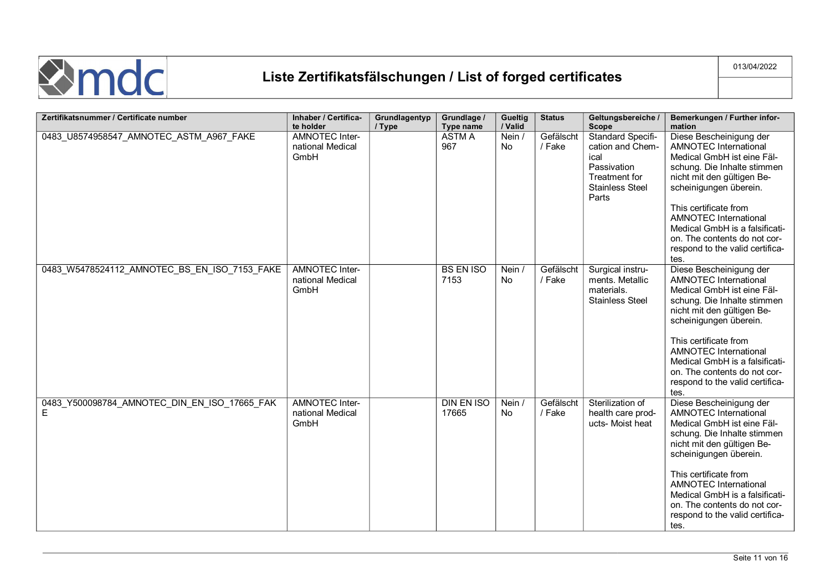

| Zertifikatsnummer / Certificate number            | Inhaber / Certifica-                              | Grundlagentyp | Grundlage /                | <b>Gueltig</b> | <b>Status</b>       | Geltungsbereiche /                                                                                                      | Bemerkungen / Further infor-                                                                                                                                                                                                                                                                                                                       |
|---------------------------------------------------|---------------------------------------------------|---------------|----------------------------|----------------|---------------------|-------------------------------------------------------------------------------------------------------------------------|----------------------------------------------------------------------------------------------------------------------------------------------------------------------------------------------------------------------------------------------------------------------------------------------------------------------------------------------------|
|                                                   | te holder                                         | / Type        | Type name                  | / Valid        |                     | <b>Scope</b>                                                                                                            | mation                                                                                                                                                                                                                                                                                                                                             |
| 0483_U8574958547_AMNOTEC_ASTM_A967_FAKE           | <b>AMNOTEC Inter-</b><br>national Medical<br>GmbH |               | <b>ASTM A</b><br>967       | Nein /<br>No   | Gefälscht<br>/ Fake | <b>Standard Specifi-</b><br>cation and Chem-<br>ical<br>Passivation<br>Treatment for<br><b>Stainless Steel</b><br>Parts | Diese Bescheinigung der<br><b>AMNOTEC International</b><br>Medical GmbH ist eine Fäl-<br>schung. Die Inhalte stimmen<br>nicht mit den gültigen Be-<br>scheinigungen überein.<br>This certificate from<br><b>AMNOTEC International</b><br>Medical GmbH is a falsificati-<br>on. The contents do not cor-<br>respond to the valid certifica-<br>tes. |
| 0483_W5478524112_AMNOTEC_BS_EN_ISO_7153_FAKE      | <b>AMNOTEC Inter-</b><br>national Medical<br>GmbH |               | <b>BS EN ISO</b><br>7153   | Nein /<br>No   | Gefälscht<br>/ Fake | Surgical instru-<br>ments. Metallic<br>materials.<br><b>Stainless Steel</b>                                             | Diese Bescheinigung der<br>AMNOTEC International<br>Medical GmbH ist eine Fäl-<br>schung. Die Inhalte stimmen<br>nicht mit den gültigen Be-<br>scheinigungen überein.<br>This certificate from<br><b>AMNOTEC International</b><br>Medical GmbH is a falsificati-<br>on. The contents do not cor-<br>respond to the valid certifica-<br>tes.        |
| 0483_Y500098784_AMNOTEC_DIN_EN_ISO_17665_FAK<br>Е | <b>AMNOTEC Inter-</b><br>national Medical<br>GmbH |               | <b>DIN EN ISO</b><br>17665 | Nein /<br>No   | Gefälscht<br>/ Fake | Sterilization of<br>health care prod-<br>ucts- Moist heat                                                               | Diese Bescheinigung der<br><b>AMNOTEC International</b><br>Medical GmbH ist eine Fäl-<br>schung. Die Inhalte stimmen<br>nicht mit den gültigen Be-<br>scheinigungen überein.<br>This certificate from<br><b>AMNOTEC International</b><br>Medical GmbH is a falsificati-<br>on. The contents do not cor-<br>respond to the valid certifica-<br>tes. |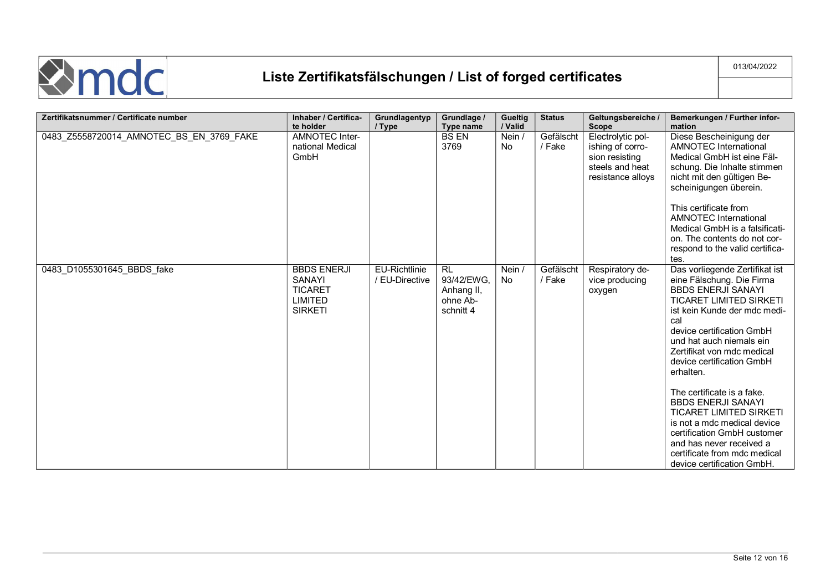

| Zertifikatsnummer / Certificate number   | Inhaber / Certifica-<br>te holder                                           | Grundlagentyp<br>/ Type                | Grundlage /<br>Type name                                       | <b>Gueltig</b><br>/ Valid | <b>Status</b>       | Geltungsbereiche /<br><b>Scope</b>                                                              | Bemerkungen / Further infor-<br>mation                                                                                                                                                                                                                                                                                                                                                                                                                                                                                                                  |
|------------------------------------------|-----------------------------------------------------------------------------|----------------------------------------|----------------------------------------------------------------|---------------------------|---------------------|-------------------------------------------------------------------------------------------------|---------------------------------------------------------------------------------------------------------------------------------------------------------------------------------------------------------------------------------------------------------------------------------------------------------------------------------------------------------------------------------------------------------------------------------------------------------------------------------------------------------------------------------------------------------|
| 0483_Z5558720014_AMNOTEC_BS_EN_3769_FAKE | <b>AMNOTEC Inter-</b><br>national Medical<br>GmbH                           |                                        | <b>BS EN</b><br>3769                                           | Nein /<br><b>No</b>       | Gefälscht<br>/ Fake | Electrolytic pol-<br>ishing of corro-<br>sion resisting<br>steels and heat<br>resistance alloys | Diese Bescheinigung der<br><b>AMNOTEC International</b><br>Medical GmbH ist eine Fäl-<br>schung. Die Inhalte stimmen<br>nicht mit den gültigen Be-<br>scheinigungen überein.<br>This certificate from<br>AMNOTEC International<br>Medical GmbH is a falsificati-<br>on. The contents do not cor-<br>respond to the valid certifica-<br>tes.                                                                                                                                                                                                             |
| 0483 D1055301645 BBDS fake               | <b>BBDS ENERJI</b><br>SANAYI<br><b>TICARET</b><br>LIMITED<br><b>SIRKETI</b> | <b>EU-Richtlinie</b><br>/ EU-Directive | <b>RL</b><br>93/42/EWG,<br>Anhang II,<br>ohne Ab-<br>schnitt 4 | Nein /<br>No              | Gefälscht<br>/ Fake | Respiratory de-<br>vice producing<br>oxygen                                                     | Das vorliegende Zertifikat ist<br>eine Fälschung. Die Firma<br><b>BBDS ENERJI SANAYI</b><br><b>TICARET LIMITED SIRKETI</b><br>ist kein Kunde der mdc medi-<br>cal<br>device certification GmbH<br>und hat auch niemals ein<br>Zertifikat von mdc medical<br>device certification GmbH<br>erhalten.<br>The certificate is a fake.<br><b>BBDS ENERJI SANAYI</b><br><b>TICARET LIMITED SIRKETI</b><br>is not a mdc medical device<br>certification GmbH customer<br>and has never received a<br>certificate from mdc medical<br>device certification GmbH. |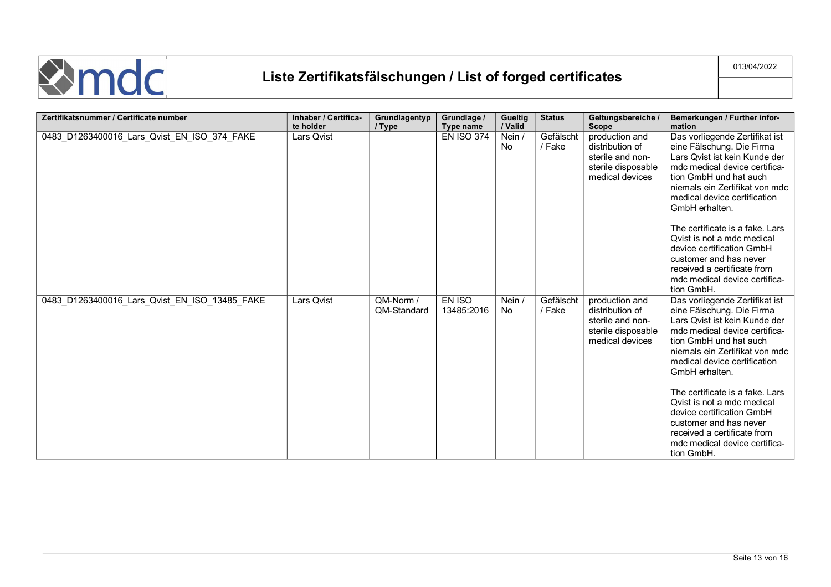

| Zertifikatsnummer / Certificate number        | Inhaber / Certifica-<br>te holder | Grundlagentyp<br>/ Type  | Grundlage /<br>Type name | <b>Gueltig</b><br>/ Valid | <b>Status</b>       | Geltungsbereiche /<br><b>Scope</b>                                                             | Bemerkungen / Further infor-<br>mation                                                                                                                                                                                                                                                                                                                                                                                                            |
|-----------------------------------------------|-----------------------------------|--------------------------|--------------------------|---------------------------|---------------------|------------------------------------------------------------------------------------------------|---------------------------------------------------------------------------------------------------------------------------------------------------------------------------------------------------------------------------------------------------------------------------------------------------------------------------------------------------------------------------------------------------------------------------------------------------|
| 0483_D1263400016_Lars_Qvist_EN_ISO_374_FAKE   | Lars Qvist                        |                          | <b>EN ISO 374</b>        | Nein /<br>No              | Gefälscht<br>/ Fake | production and<br>distribution of<br>sterile and non-<br>sterile disposable<br>medical devices | Das vorliegende Zertifikat ist<br>eine Fälschung. Die Firma<br>Lars Qvist ist kein Kunde der<br>mdc medical device certifica-<br>tion GmbH und hat auch<br>niemals ein Zertifikat von mdc<br>medical device certification<br>GmbH erhalten.<br>The certificate is a fake. Lars                                                                                                                                                                    |
|                                               |                                   |                          |                          |                           |                     |                                                                                                | Qvist is not a mdc medical<br>device certification GmbH<br>customer and has never<br>received a certificate from<br>mdc medical device certifica-<br>tion GmbH.                                                                                                                                                                                                                                                                                   |
| 0483_D1263400016_Lars_Qvist_EN_ISO_13485_FAKE | Lars Qvist                        | QM-Norm /<br>QM-Standard | EN ISO<br>13485:2016     | Nein /<br>No              | Gefälscht<br>/ Fake | production and<br>distribution of<br>sterile and non-<br>sterile disposable<br>medical devices | Das vorliegende Zertifikat ist<br>eine Fälschung. Die Firma<br>Lars Qvist ist kein Kunde der<br>mdc medical device certifica-<br>tion GmbH und hat auch<br>niemals ein Zertifikat von mdc<br>medical device certification<br>GmbH erhalten.<br>The certificate is a fake. Lars<br>Qvist is not a mdc medical<br>device certification GmbH<br>customer and has never<br>received a certificate from<br>mdc medical device certifica-<br>tion GmbH. |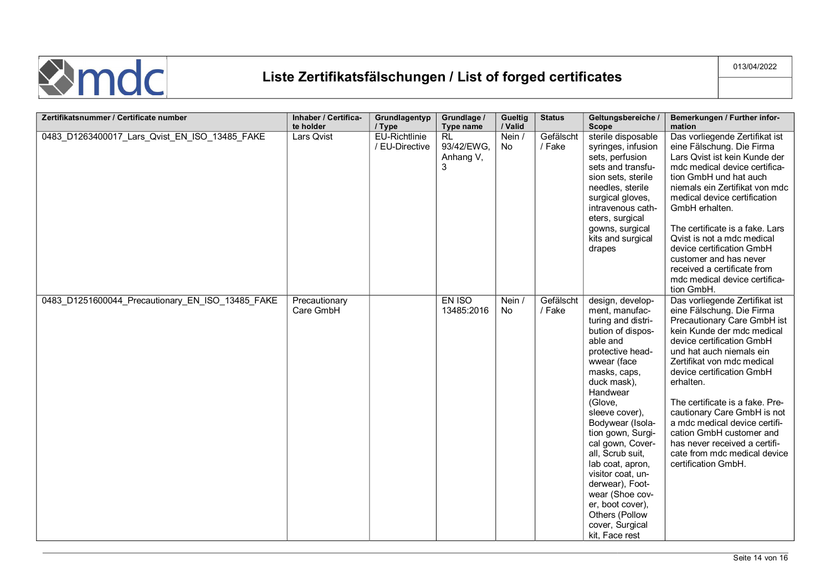

| Zertifikatsnummer / Certificate number           | Inhaber / Certifica-<br>te holder | Grundlagentyp<br>/ Type                | Grundlage /<br>Type name                  | Gueltig<br>/ Valid  | <b>Status</b>       | Geltungsbereiche /<br><b>Scope</b>                                                                                                                                                                                                                                                                                                                                                                                                              | Bemerkungen / Further infor-<br>mation                                                                                                                                                                                                                                                                                                                                                                                                                                           |
|--------------------------------------------------|-----------------------------------|----------------------------------------|-------------------------------------------|---------------------|---------------------|-------------------------------------------------------------------------------------------------------------------------------------------------------------------------------------------------------------------------------------------------------------------------------------------------------------------------------------------------------------------------------------------------------------------------------------------------|----------------------------------------------------------------------------------------------------------------------------------------------------------------------------------------------------------------------------------------------------------------------------------------------------------------------------------------------------------------------------------------------------------------------------------------------------------------------------------|
| 0483_D1263400017_Lars_Qvist_EN_ISO_13485_FAKE    | Lars Qvist                        | <b>EU-Richtlinie</b><br>/ EU-Directive | <b>RL</b><br>93/42/EWG,<br>Anhang V,<br>3 | Nein /<br><b>No</b> | Gefälscht<br>/ Fake | sterile disposable<br>syringes, infusion<br>sets, perfusion<br>sets and transfu-<br>sion sets, sterile<br>needles, sterile<br>surgical gloves,<br>intravenous cath-<br>eters, surgical<br>gowns, surgical<br>kits and surgical<br>drapes                                                                                                                                                                                                        | Das vorliegende Zertifikat ist<br>eine Fälschung. Die Firma<br>Lars Qvist ist kein Kunde der<br>mdc medical device certifica-<br>tion GmbH und hat auch<br>niemals ein Zertifikat von mdc<br>medical device certification<br>GmbH erhalten.<br>The certificate is a fake. Lars<br>Qvist is not a mdc medical<br>device certification GmbH<br>customer and has never<br>received a certificate from<br>mdc medical device certifica-<br>tion GmbH.                                |
| 0483_D1251600044_Precautionary_EN_ISO_13485_FAKE | Precautionary<br>Care GmbH        |                                        | EN ISO<br>13485:2016                      | Nein /<br>No        | Gefälscht<br>/ Fake | design, develop-<br>ment, manufac-<br>turing and distri-<br>bution of dispos-<br>able and<br>protective head-<br>wwear (face<br>masks, caps,<br>duck mask),<br>Handwear<br>(Glove,<br>sleeve cover),<br>Bodywear (Isola-<br>tion gown, Surgi-<br>cal gown, Cover-<br>all, Scrub suit,<br>lab coat, apron,<br>visitor coat, un-<br>derwear), Foot-<br>wear (Shoe cov-<br>er, boot cover),<br>Others (Pollow<br>cover, Surgical<br>kit, Face rest | Das vorliegende Zertifikat ist<br>eine Fälschung. Die Firma<br>Precautionary Care GmbH ist<br>kein Kunde der mdc medical<br>device certification GmbH<br>und hat auch niemals ein<br>Zertifikat von mdc medical<br>device certification GmbH<br>erhalten.<br>The certificate is a fake. Pre-<br>cautionary Care GmbH is not<br>a mdc medical device certifi-<br>cation GmbH customer and<br>has never received a certifi-<br>cate from mdc medical device<br>certification GmbH. |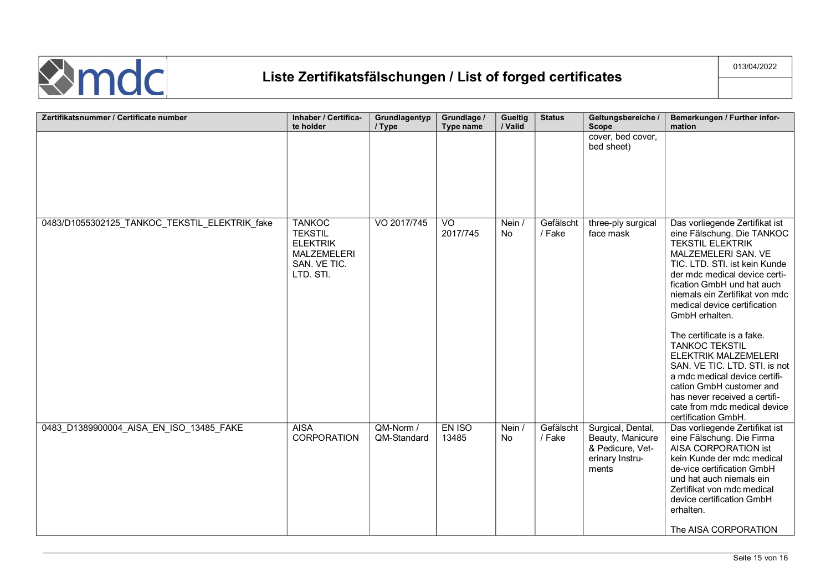

| Zertifikatsnummer / Certificate number        | Inhaber / Certifica-                                                                                  | Grundlagentyp            | Grundlage /                | Gueltig             | <b>Status</b>       | Geltungsbereiche /                                                                    | Bemerkungen / Further infor-                                                                                                                                                                                                                                                                       |
|-----------------------------------------------|-------------------------------------------------------------------------------------------------------|--------------------------|----------------------------|---------------------|---------------------|---------------------------------------------------------------------------------------|----------------------------------------------------------------------------------------------------------------------------------------------------------------------------------------------------------------------------------------------------------------------------------------------------|
|                                               | te holder                                                                                             | / Type                   | Type name                  | / Valid             |                     | <b>Scope</b><br>cover, bed cover,                                                     | mation                                                                                                                                                                                                                                                                                             |
|                                               |                                                                                                       |                          |                            |                     |                     | bed sheet)                                                                            |                                                                                                                                                                                                                                                                                                    |
| 0483/D1055302125_TANKOC_TEKSTIL_ELEKTRIK_fake | <b>TANKOC</b><br><b>TEKSTIL</b><br><b>ELEKTRIK</b><br><b>MALZEMELERI</b><br>SAN. VE TIC.<br>LTD. STI. | VO 2017/745              | $\overline{V}$<br>2017/745 | Nein /<br><b>No</b> | Gefälscht<br>/ Fake | three-ply surgical<br>face mask                                                       | Das vorliegende Zertifikat ist<br>eine Fälschung. Die TANKOC<br><b>TEKSTIL ELEKTRIK</b><br>MALZEMELERI SAN. VE<br>TIC. LTD. STI. ist kein Kunde<br>der mdc medical device certi-<br>fication GmbH und hat auch<br>niemals ein Zertifikat von mdc<br>medical device certification<br>GmbH erhalten. |
|                                               |                                                                                                       |                          |                            |                     |                     |                                                                                       | The certificate is a fake.<br><b>TANKOC TEKSTIL</b><br>ELEKTRIK MALZEMELERI<br>SAN. VE TIC. LTD. STI. is not<br>a mdc medical device certifi-<br>cation GmbH customer and<br>has never received a certifi-<br>cate from mdc medical device<br>certification GmbH.                                  |
| 0483_D1389900004_AISA_EN_ISO_13485_FAKE       | <b>AISA</b><br>CORPORATION                                                                            | QM-Norm /<br>QM-Standard | EN ISO<br>13485            | Nein /<br><b>No</b> | Gefälscht<br>/ Fake | Surgical, Dental,<br>Beauty, Manicure<br>& Pedicure, Vet-<br>erinary Instru-<br>ments | Das vorliegende Zertifikat ist<br>eine Fälschung. Die Firma<br>AISA CORPORATION ist<br>kein Kunde der mdc medical<br>de-vice certification GmbH<br>und hat auch niemals ein<br>Zertifikat von mdc medical<br>device certification GmbH<br>erhalten.<br>The AISA CORPORATION                        |